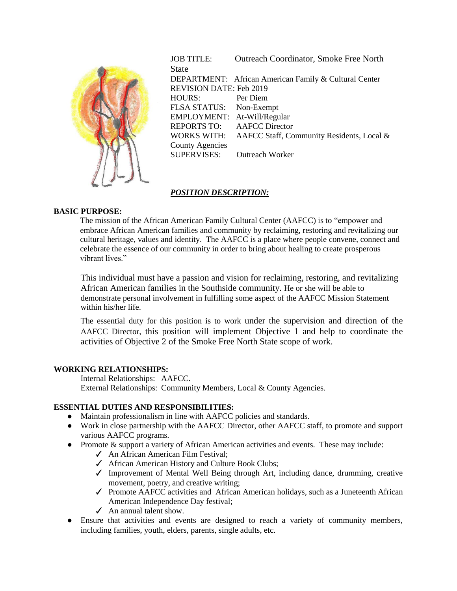

JOB TITLE: Outreach Coordinator, Smoke Free North **State** DEPARTMENT: African American Family & Cultural Center REVISION DATE: Feb 2019 HOURS: Per Diem FLSA STATUS: Non-Exempt EMPLOYMENT: At-Will/Regular REPORTS TO: AAFCC Director WORKS WITH: AAFCC Staff, Community Residents, Local & County Agencies SUPERVISES: Outreach Worker

# *POSITION DESCRIPTION:*

## **BASIC PURPOSE:**

The mission of the African American Family Cultural Center (AAFCC) is to "empower and embrace African American families and community by reclaiming, restoring and revitalizing our cultural heritage, values and identity. The AAFCC is a place where people convene, connect and celebrate the essence of our community in order to bring about healing to create prosperous vibrant lives."

This individual must have a passion and vision for reclaiming, restoring, and revitalizing African American families in the Southside community. He or she will be able to demonstrate personal involvement in fulfilling some aspect of the AAFCC Mission Statement within his/her life.

The essential duty for this position is to work under the supervision and direction of the AAFCC Director, this position will implement Objective 1 and help to coordinate the activities of Objective 2 of the Smoke Free North State scope of work.

### **WORKING RELATIONSHIPS:**

Internal Relationships: AAFCC. External Relationships: Community Members, Local & County Agencies.

### **ESSENTIAL DUTIES AND RESPONSIBILITIES:**

- Maintain professionalism in line with AAFCC policies and standards.
- Work in close partnership with the AAFCC Director, other AAFCC staff, to promote and support various AAFCC programs.
- Promote & support a variety of African American activities and events. These may include:
	- ✓ An African American Film Festival;
	- ✓ African American History and Culture Book Clubs;
	- ✓ Improvement of Mental Well Being through Art, including dance, drumming, creative movement, poetry, and creative writing;
	- ✓ Promote AAFCC activities and African American holidays, such as a Juneteenth African American Independence Day festival;
	- $\angle$  An annual talent show.
- Ensure that activities and events are designed to reach a variety of community members, including families, youth, elders, parents, single adults, etc.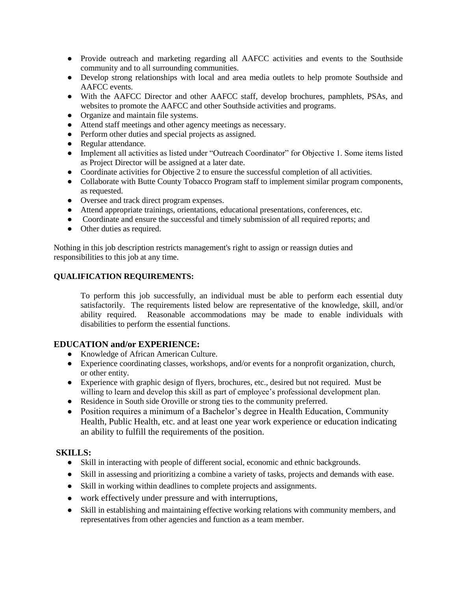- Provide outreach and marketing regarding all AAFCC activities and events to the Southside community and to all surrounding communities.
- Develop strong relationships with local and area media outlets to help promote Southside and AAFCC events.
- With the AAFCC Director and other AAFCC staff, develop brochures, pamphlets, PSAs, and websites to promote the AAFCC and other Southside activities and programs.
- Organize and maintain file systems.
- Attend staff meetings and other agency meetings as necessary.
- Perform other duties and special projects as assigned.
- Regular attendance.
- Implement all activities as listed under "Outreach Coordinator" for Objective 1. Some items listed as Project Director will be assigned at a later date.
- Coordinate activities for Objective 2 to ensure the successful completion of all activities.
- Collaborate with Butte County Tobacco Program staff to implement similar program components, as requested.
- Oversee and track direct program expenses.
- Attend appropriate trainings, orientations, educational presentations, conferences, etc.
- Coordinate and ensure the successful and timely submission of all required reports; and
- Other duties as required.

Nothing in this job description restricts management's right to assign or reassign duties and responsibilities to this job at any time.

## **QUALIFICATION REQUIREMENTS:**

To perform this job successfully, an individual must be able to perform each essential duty satisfactorily. The requirements listed below are representative of the knowledge, skill, and/or ability required. Reasonable accommodations may be made to enable individuals with disabilities to perform the essential functions.

## **EDUCATION and/or EXPERIENCE:**

- Knowledge of African American Culture.
- Experience coordinating classes, workshops, and/or events for a nonprofit organization, church, or other entity.
- Experience with graphic design of flyers, brochures, etc., desired but not required. Must be willing to learn and develop this skill as part of employee's professional development plan.
- Residence in South side Oroville or strong ties to the community preferred.
- Position requires a minimum of a Bachelor's degree in Health Education, Community Health, Public Health, etc. and at least one year work experience or education indicating an ability to fulfill the requirements of the position.

## **SKILLS:**

- Skill in interacting with people of different social, economic and ethnic backgrounds.
- Skill in assessing and prioritizing a combine a variety of tasks, projects and demands with ease.
- Skill in working within deadlines to complete projects and assignments.
- work effectively under pressure and with interruptions,
- Skill in establishing and maintaining effective working relations with community members, and representatives from other agencies and function as a team member.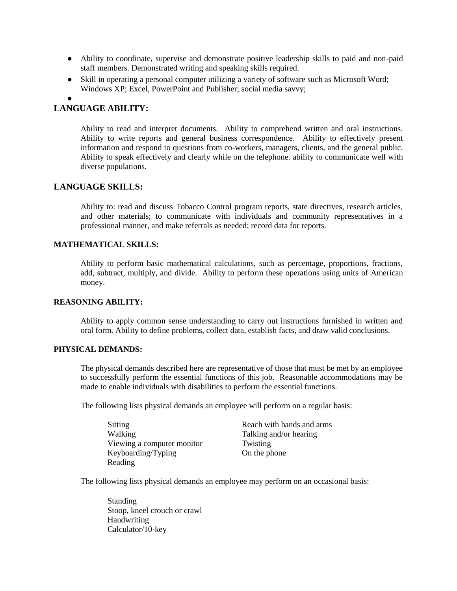- Ability to coordinate, supervise and demonstrate positive leadership skills to paid and non-paid staff members. Demonstrated writing and speaking skills required.
- Skill in operating a personal computer utilizing a variety of software such as Microsoft Word; Windows XP; Excel, PowerPoint and Publisher; social media savvy;

●

# **LANGUAGE ABILITY:**

Ability to read and interpret documents. Ability to comprehend written and oral instructions. Ability to write reports and general business correspondence. Ability to effectively present information and respond to questions from co-workers, managers, clients, and the general public. Ability to speak effectively and clearly while on the telephone. ability to communicate well with diverse populations.

## **LANGUAGE SKILLS:**

Ability to: read and discuss Tobacco Control program reports, state directives, research articles, and other materials; to communicate with individuals and community representatives in a professional manner, and make referrals as needed; record data for reports.

## **MATHEMATICAL SKILLS:**

Ability to perform basic mathematical calculations, such as percentage, proportions, fractions, add, subtract, multiply, and divide. Ability to perform these operations using units of American money.

#### **REASONING ABILITY:**

Ability to apply common sense understanding to carry out instructions furnished in written and oral form. Ability to define problems, collect data, establish facts, and draw valid conclusions.

#### **PHYSICAL DEMANDS:**

The physical demands described here are representative of those that must be met by an employee to successfully perform the essential functions of this job. Reasonable accommodations may be made to enable individuals with disabilities to perform the essential functions.

The following lists physical demands an employee will perform on a regular basis:

Sitting Reach with hands and arms Walking Walking Talking and/or hearing Viewing a computer monitor Twisting Keyboarding/Typing On the phone Reading

The following lists physical demands an employee may perform on an occasional basis:

Standing Stoop, kneel crouch or crawl Handwriting Calculator/10-key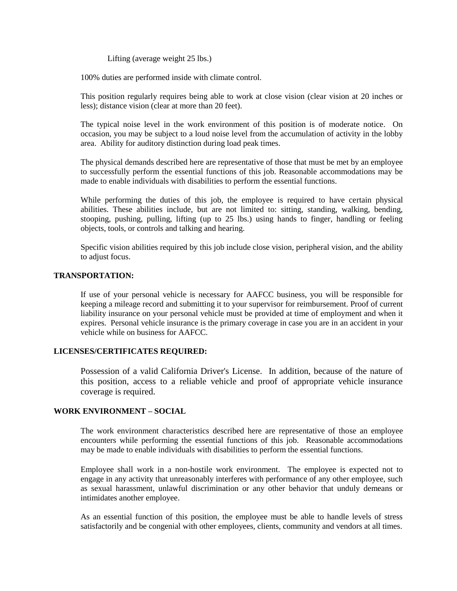Lifting (average weight 25 lbs.)

100% duties are performed inside with climate control.

This position regularly requires being able to work at close vision (clear vision at 20 inches or less); distance vision (clear at more than 20 feet).

The typical noise level in the work environment of this position is of moderate notice. On occasion, you may be subject to a loud noise level from the accumulation of activity in the lobby area. Ability for auditory distinction during load peak times.

The physical demands described here are representative of those that must be met by an employee to successfully perform the essential functions of this job. Reasonable accommodations may be made to enable individuals with disabilities to perform the essential functions.

While performing the duties of this job, the employee is required to have certain physical abilities. These abilities include, but are not limited to: sitting, standing, walking, bending, stooping, pushing, pulling, lifting (up to 25 lbs.) using hands to finger, handling or feeling objects, tools, or controls and talking and hearing.

Specific vision abilities required by this job include close vision, peripheral vision, and the ability to adjust focus.

#### **TRANSPORTATION:**

If use of your personal vehicle is necessary for AAFCC business, you will be responsible for keeping a mileage record and submitting it to your supervisor for reimbursement. Proof of current liability insurance on your personal vehicle must be provided at time of employment and when it expires. Personal vehicle insurance is the primary coverage in case you are in an accident in your vehicle while on business for AAFCC.

### **LICENSES/CERTIFICATES REQUIRED:**

Possession of a valid California Driver's License. In addition, because of the nature of this position, access to a reliable vehicle and proof of appropriate vehicle insurance coverage is required.

#### **WORK ENVIRONMENT – SOCIAL**

The work environment characteristics described here are representative of those an employee encounters while performing the essential functions of this job. Reasonable accommodations may be made to enable individuals with disabilities to perform the essential functions.

Employee shall work in a non-hostile work environment. The employee is expected not to engage in any activity that unreasonably interferes with performance of any other employee, such as sexual harassment, unlawful discrimination or any other behavior that unduly demeans or intimidates another employee.

As an essential function of this position, the employee must be able to handle levels of stress satisfactorily and be congenial with other employees, clients, community and vendors at all times.